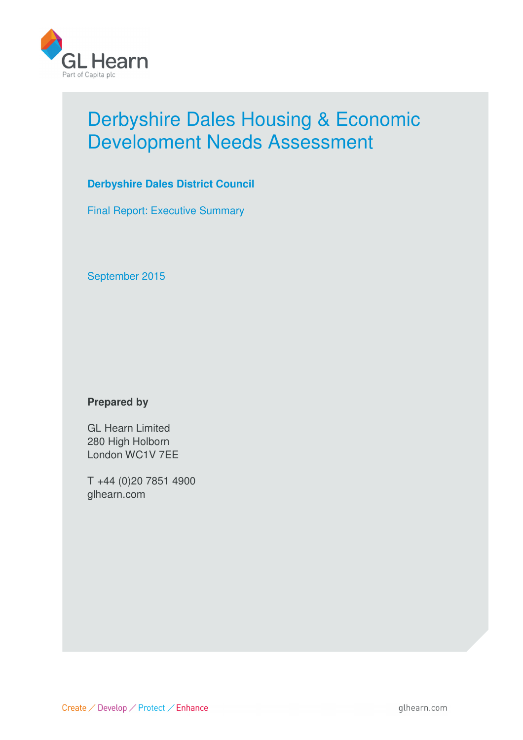

# Derbyshire Dales Housing & Economic Development Needs Assessment

# **Derbyshire Dales District Council**

Final Report: Executive Summary

September 2015

# **Prepared by**

GL Hearn Limited 280 High Holborn London WC1V 7EE

T +44 (0)20 7851 4900 glhearn.com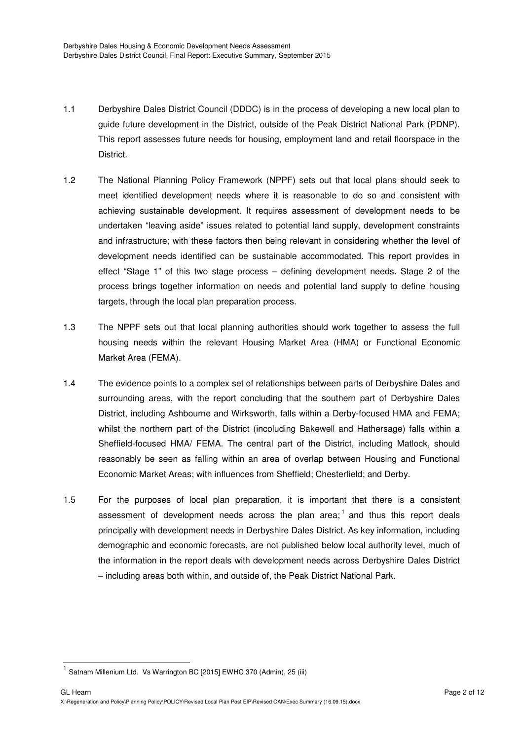- 1.1 Derbyshire Dales District Council (DDDC) is in the process of developing a new local plan to guide future development in the District, outside of the Peak District National Park (PDNP). This report assesses future needs for housing, employment land and retail floorspace in the District.
- 1.2 The National Planning Policy Framework (NPPF) sets out that local plans should seek to meet identified development needs where it is reasonable to do so and consistent with achieving sustainable development. It requires assessment of development needs to be undertaken "leaving aside" issues related to potential land supply, development constraints and infrastructure; with these factors then being relevant in considering whether the level of development needs identified can be sustainable accommodated. This report provides in effect "Stage 1" of this two stage process – defining development needs. Stage 2 of the process brings together information on needs and potential land supply to define housing targets, through the local plan preparation process.
- 1.3 The NPPF sets out that local planning authorities should work together to assess the full housing needs within the relevant Housing Market Area (HMA) or Functional Economic Market Area (FEMA).
- 1.4 The evidence points to a complex set of relationships between parts of Derbyshire Dales and surrounding areas, with the report concluding that the southern part of Derbyshire Dales District, including Ashbourne and Wirksworth, falls within a Derby-focused HMA and FEMA; whilst the northern part of the District (incoluding Bakewell and Hathersage) falls within a Sheffield-focused HMA/ FEMA. The central part of the District, including Matlock, should reasonably be seen as falling within an area of overlap between Housing and Functional Economic Market Areas; with influences from Sheffield; Chesterfield; and Derby.
- 1.5 For the purposes of local plan preparation, it is important that there is a consistent assessment of development needs across the plan area;  $^1$  and thus this report deals principally with development needs in Derbyshire Dales District. As key information, including demographic and economic forecasts, are not published below local authority level, much of the information in the report deals with development needs across Derbyshire Dales District – including areas both within, and outside of, the Peak District National Park.

j

<sup>1</sup> Satnam Millenium Ltd. Vs Warrington BC [2015] EWHC 370 (Admin), 25 (iii)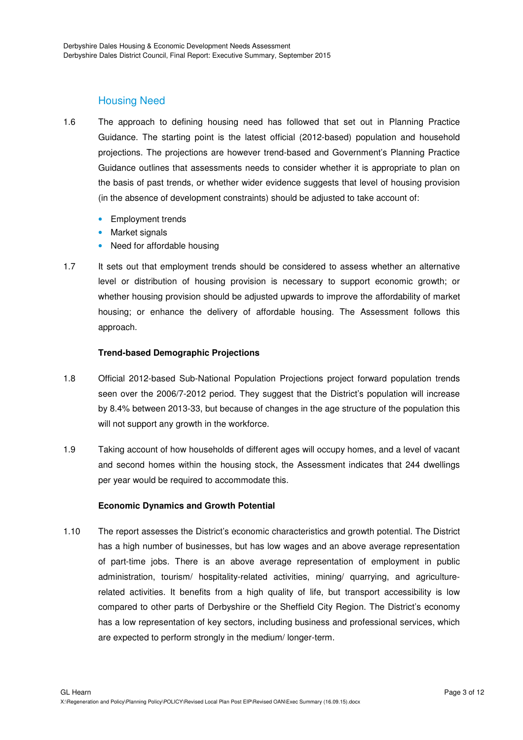# Housing Need

- 1.6 The approach to defining housing need has followed that set out in Planning Practice Guidance. The starting point is the latest official (2012-based) population and household projections. The projections are however trend-based and Government's Planning Practice Guidance outlines that assessments needs to consider whether it is appropriate to plan on the basis of past trends, or whether wider evidence suggests that level of housing provision (in the absence of development constraints) should be adjusted to take account of:
	- Employment trends
	- Market signals
	- Need for affordable housing
- 1.7 It sets out that employment trends should be considered to assess whether an alternative level or distribution of housing provision is necessary to support economic growth; or whether housing provision should be adjusted upwards to improve the affordability of market housing; or enhance the delivery of affordable housing. The Assessment follows this approach.

## **Trend-based Demographic Projections**

- 1.8 Official 2012-based Sub-National Population Projections project forward population trends seen over the 2006/7-2012 period. They suggest that the District's population will increase by 8.4% between 2013-33, but because of changes in the age structure of the population this will not support any growth in the workforce.
- 1.9 Taking account of how households of different ages will occupy homes, and a level of vacant and second homes within the housing stock, the Assessment indicates that 244 dwellings per year would be required to accommodate this.

## **Economic Dynamics and Growth Potential**

1.10 The report assesses the District's economic characteristics and growth potential. The District has a high number of businesses, but has low wages and an above average representation of part-time jobs. There is an above average representation of employment in public administration, tourism/ hospitality-related activities, mining/ quarrying, and agriculturerelated activities. It benefits from a high quality of life, but transport accessibility is low compared to other parts of Derbyshire or the Sheffield City Region. The District's economy has a low representation of key sectors, including business and professional services, which are expected to perform strongly in the medium/ longer-term.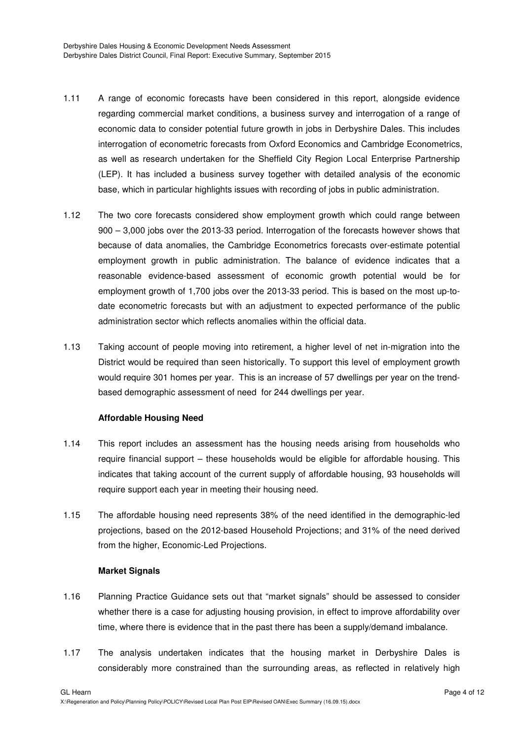- 1.11 A range of economic forecasts have been considered in this report, alongside evidence regarding commercial market conditions, a business survey and interrogation of a range of economic data to consider potential future growth in jobs in Derbyshire Dales. This includes interrogation of econometric forecasts from Oxford Economics and Cambridge Econometrics, as well as research undertaken for the Sheffield City Region Local Enterprise Partnership (LEP). It has included a business survey together with detailed analysis of the economic base, which in particular highlights issues with recording of jobs in public administration.
- 1.12 The two core forecasts considered show employment growth which could range between 900 – 3,000 jobs over the 2013-33 period. Interrogation of the forecasts however shows that because of data anomalies, the Cambridge Econometrics forecasts over-estimate potential employment growth in public administration. The balance of evidence indicates that a reasonable evidence-based assessment of economic growth potential would be for employment growth of 1,700 jobs over the 2013-33 period. This is based on the most up-todate econometric forecasts but with an adjustment to expected performance of the public administration sector which reflects anomalies within the official data.
- 1.13 Taking account of people moving into retirement, a higher level of net in-migration into the District would be required than seen historically. To support this level of employment growth would require 301 homes per year. This is an increase of 57 dwellings per year on the trendbased demographic assessment of need for 244 dwellings per year.

## **Affordable Housing Need**

- 1.14 This report includes an assessment has the housing needs arising from households who require financial support – these households would be eligible for affordable housing. This indicates that taking account of the current supply of affordable housing, 93 households will require support each year in meeting their housing need.
- 1.15 The affordable housing need represents 38% of the need identified in the demographic-led projections, based on the 2012-based Household Projections; and 31% of the need derived from the higher, Economic-Led Projections.

## **Market Signals**

- 1.16 Planning Practice Guidance sets out that "market signals" should be assessed to consider whether there is a case for adjusting housing provision, in effect to improve affordability over time, where there is evidence that in the past there has been a supply/demand imbalance.
- 1.17 The analysis undertaken indicates that the housing market in Derbyshire Dales is considerably more constrained than the surrounding areas, as reflected in relatively high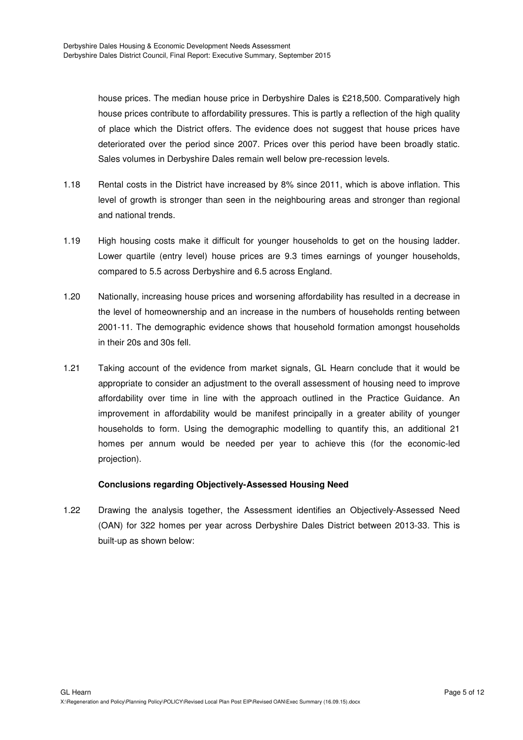house prices. The median house price in Derbyshire Dales is £218,500. Comparatively high house prices contribute to affordability pressures. This is partly a reflection of the high quality of place which the District offers. The evidence does not suggest that house prices have deteriorated over the period since 2007. Prices over this period have been broadly static. Sales volumes in Derbyshire Dales remain well below pre-recession levels.

- 1.18 Rental costs in the District have increased by 8% since 2011, which is above inflation. This level of growth is stronger than seen in the neighbouring areas and stronger than regional and national trends.
- 1.19 High housing costs make it difficult for younger households to get on the housing ladder. Lower quartile (entry level) house prices are 9.3 times earnings of younger households, compared to 5.5 across Derbyshire and 6.5 across England.
- 1.20 Nationally, increasing house prices and worsening affordability has resulted in a decrease in the level of homeownership and an increase in the numbers of households renting between 2001-11. The demographic evidence shows that household formation amongst households in their 20s and 30s fell.
- 1.21 Taking account of the evidence from market signals, GL Hearn conclude that it would be appropriate to consider an adjustment to the overall assessment of housing need to improve affordability over time in line with the approach outlined in the Practice Guidance. An improvement in affordability would be manifest principally in a greater ability of younger households to form. Using the demographic modelling to quantify this, an additional 21 homes per annum would be needed per year to achieve this (for the economic-led projection).

# **Conclusions regarding Objectively-Assessed Housing Need**

1.22 Drawing the analysis together, the Assessment identifies an Objectively-Assessed Need (OAN) for 322 homes per year across Derbyshire Dales District between 2013-33. This is built-up as shown below: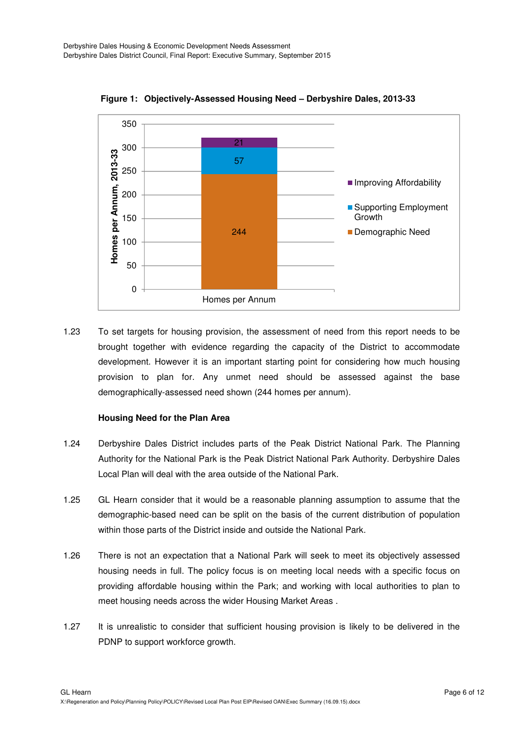

**Figure 1: Objectively-Assessed Housing Need – Derbyshire Dales, 2013-33** 

1.23 To set targets for housing provision, the assessment of need from this report needs to be brought together with evidence regarding the capacity of the District to accommodate development. However it is an important starting point for considering how much housing provision to plan for. Any unmet need should be assessed against the base demographically-assessed need shown (244 homes per annum).

## **Housing Need for the Plan Area**

- 1.24 Derbyshire Dales District includes parts of the Peak District National Park. The Planning Authority for the National Park is the Peak District National Park Authority. Derbyshire Dales Local Plan will deal with the area outside of the National Park.
- 1.25 GL Hearn consider that it would be a reasonable planning assumption to assume that the demographic-based need can be split on the basis of the current distribution of population within those parts of the District inside and outside the National Park.
- 1.26 There is not an expectation that a National Park will seek to meet its objectively assessed housing needs in full. The policy focus is on meeting local needs with a specific focus on providing affordable housing within the Park; and working with local authorities to plan to meet housing needs across the wider Housing Market Areas .
- 1.27 It is unrealistic to consider that sufficient housing provision is likely to be delivered in the PDNP to support workforce growth.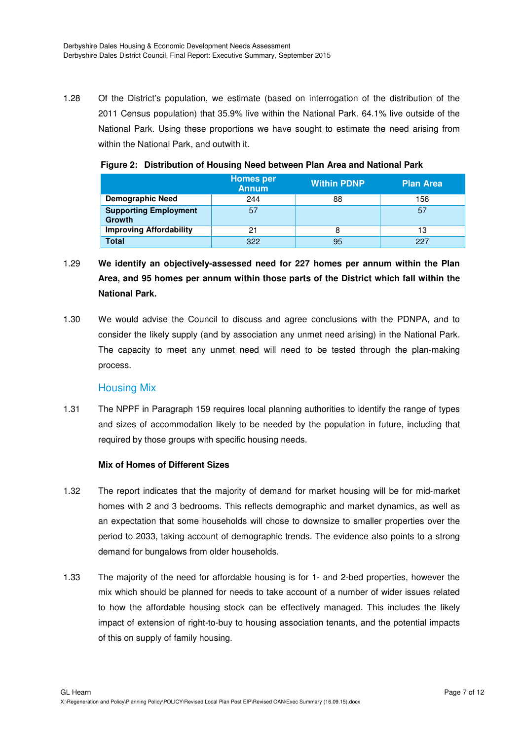1.28 Of the District's population, we estimate (based on interrogation of the distribution of the 2011 Census population) that 35.9% live within the National Park. 64.1% live outside of the National Park. Using these proportions we have sought to estimate the need arising from within the National Park, and outwith it.

|                                               | <b>Homes per</b><br><b>Annum</b> | <b>Within PDNP</b> | <b>Plan Area</b> |
|-----------------------------------------------|----------------------------------|--------------------|------------------|
| <b>Demographic Need</b>                       | 244                              | 88                 | 156              |
| <b>Supporting Employment</b><br><b>Growth</b> | 57                               |                    | 57               |
| <b>Improving Affordability</b>                | 21                               |                    | 13               |
| Total                                         | 322                              | 95                 | 227              |

## **Figure 2: Distribution of Housing Need between Plan Area and National Park**

- 1.29 **We identify an objectively-assessed need for 227 homes per annum within the Plan Area, and 95 homes per annum within those parts of the District which fall within the National Park.**
- 1.30 We would advise the Council to discuss and agree conclusions with the PDNPA, and to consider the likely supply (and by association any unmet need arising) in the National Park. The capacity to meet any unmet need will need to be tested through the plan-making process.

# Housing Mix

1.31 The NPPF in Paragraph 159 requires local planning authorities to identify the range of types and sizes of accommodation likely to be needed by the population in future, including that required by those groups with specific housing needs.

# **Mix of Homes of Different Sizes**

- 1.32 The report indicates that the majority of demand for market housing will be for mid-market homes with 2 and 3 bedrooms. This reflects demographic and market dynamics, as well as an expectation that some households will chose to downsize to smaller properties over the period to 2033, taking account of demographic trends. The evidence also points to a strong demand for bungalows from older households.
- 1.33 The majority of the need for affordable housing is for 1- and 2-bed properties, however the mix which should be planned for needs to take account of a number of wider issues related to how the affordable housing stock can be effectively managed. This includes the likely impact of extension of right-to-buy to housing association tenants, and the potential impacts of this on supply of family housing.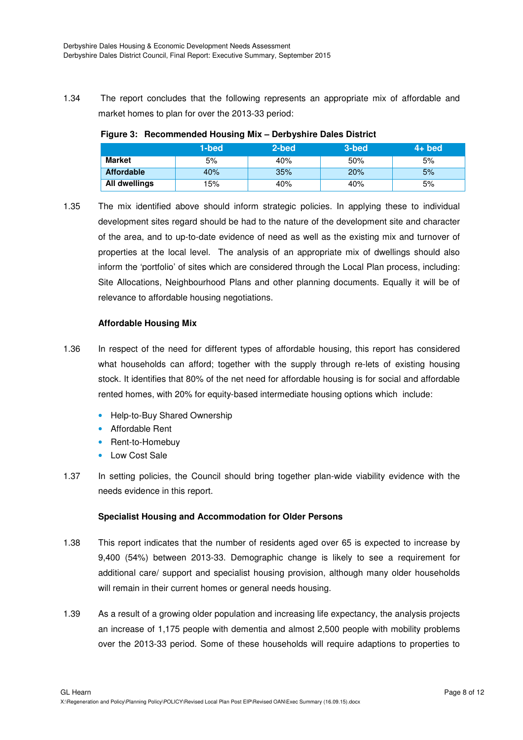1.34 The report concludes that the following represents an appropriate mix of affordable and market homes to plan for over the 2013-33 period:

## **Figure 3: Recommended Housing Mix – Derbyshire Dales District**

|                   | 1-bed | 2-bed | 3-bed | $4+$ bed |
|-------------------|-------|-------|-------|----------|
| <b>Market</b>     | 5%    | 40%   | 50%   | 5%       |
| <b>Affordable</b> | 40%   | 35%   | 20%   | 5%       |
| All dwellings     | 15%   | 40%   | 40%   | 5%       |

1.35 The mix identified above should inform strategic policies. In applying these to individual development sites regard should be had to the nature of the development site and character of the area, and to up-to-date evidence of need as well as the existing mix and turnover of properties at the local level. The analysis of an appropriate mix of dwellings should also inform the 'portfolio' of sites which are considered through the Local Plan process, including: Site Allocations, Neighbourhood Plans and other planning documents. Equally it will be of relevance to affordable housing negotiations.

## **Affordable Housing Mix**

- 1.36 In respect of the need for different types of affordable housing, this report has considered what households can afford; together with the supply through re-lets of existing housing stock. It identifies that 80% of the net need for affordable housing is for social and affordable rented homes, with 20% for equity-based intermediate housing options which include:
	- Help-to-Buy Shared Ownership
	- Affordable Rent
	- Rent-to-Homebuy
	- Low Cost Sale
- 1.37 In setting policies, the Council should bring together plan-wide viability evidence with the needs evidence in this report.

## **Specialist Housing and Accommodation for Older Persons**

- 1.38 This report indicates that the number of residents aged over 65 is expected to increase by 9,400 (54%) between 2013-33. Demographic change is likely to see a requirement for additional care/ support and specialist housing provision, although many older households will remain in their current homes or general needs housing.
- 1.39 As a result of a growing older population and increasing life expectancy, the analysis projects an increase of 1,175 people with dementia and almost 2,500 people with mobility problems over the 2013-33 period. Some of these households will require adaptions to properties to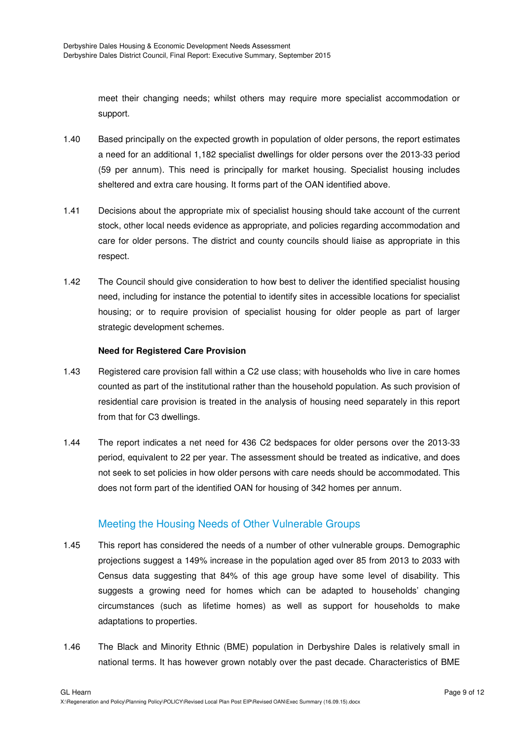meet their changing needs; whilst others may require more specialist accommodation or support.

- 1.40 Based principally on the expected growth in population of older persons, the report estimates a need for an additional 1,182 specialist dwellings for older persons over the 2013-33 period (59 per annum). This need is principally for market housing. Specialist housing includes sheltered and extra care housing. It forms part of the OAN identified above.
- 1.41 Decisions about the appropriate mix of specialist housing should take account of the current stock, other local needs evidence as appropriate, and policies regarding accommodation and care for older persons. The district and county councils should liaise as appropriate in this respect.
- 1.42 The Council should give consideration to how best to deliver the identified specialist housing need, including for instance the potential to identify sites in accessible locations for specialist housing; or to require provision of specialist housing for older people as part of larger strategic development schemes.

## **Need for Registered Care Provision**

- 1.43 Registered care provision fall within a C2 use class; with households who live in care homes counted as part of the institutional rather than the household population. As such provision of residential care provision is treated in the analysis of housing need separately in this report from that for C3 dwellings.
- 1.44 The report indicates a net need for 436 C2 bedspaces for older persons over the 2013-33 period, equivalent to 22 per year. The assessment should be treated as indicative, and does not seek to set policies in how older persons with care needs should be accommodated. This does not form part of the identified OAN for housing of 342 homes per annum.

# Meeting the Housing Needs of Other Vulnerable Groups

- 1.45 This report has considered the needs of a number of other vulnerable groups. Demographic projections suggest a 149% increase in the population aged over 85 from 2013 to 2033 with Census data suggesting that 84% of this age group have some level of disability. This suggests a growing need for homes which can be adapted to households' changing circumstances (such as lifetime homes) as well as support for households to make adaptations to properties.
- 1.46 The Black and Minority Ethnic (BME) population in Derbyshire Dales is relatively small in national terms. It has however grown notably over the past decade. Characteristics of BME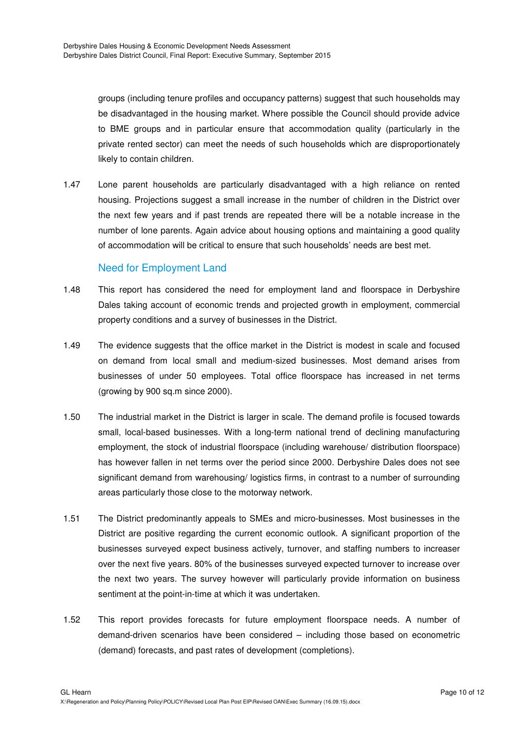groups (including tenure profiles and occupancy patterns) suggest that such households may be disadvantaged in the housing market. Where possible the Council should provide advice to BME groups and in particular ensure that accommodation quality (particularly in the private rented sector) can meet the needs of such households which are disproportionately likely to contain children.

1.47 Lone parent households are particularly disadvantaged with a high reliance on rented housing. Projections suggest a small increase in the number of children in the District over the next few years and if past trends are repeated there will be a notable increase in the number of lone parents. Again advice about housing options and maintaining a good quality of accommodation will be critical to ensure that such households' needs are best met.

# Need for Employment Land

- 1.48 This report has considered the need for employment land and floorspace in Derbyshire Dales taking account of economic trends and projected growth in employment, commercial property conditions and a survey of businesses in the District.
- 1.49 The evidence suggests that the office market in the District is modest in scale and focused on demand from local small and medium-sized businesses. Most demand arises from businesses of under 50 employees. Total office floorspace has increased in net terms (growing by 900 sq.m since 2000).
- 1.50 The industrial market in the District is larger in scale. The demand profile is focused towards small, local-based businesses. With a long-term national trend of declining manufacturing employment, the stock of industrial floorspace (including warehouse/ distribution floorspace) has however fallen in net terms over the period since 2000. Derbyshire Dales does not see significant demand from warehousing/ logistics firms, in contrast to a number of surrounding areas particularly those close to the motorway network.
- 1.51 The District predominantly appeals to SMEs and micro-businesses. Most businesses in the District are positive regarding the current economic outlook. A significant proportion of the businesses surveyed expect business actively, turnover, and staffing numbers to increaser over the next five years. 80% of the businesses surveyed expected turnover to increase over the next two years. The survey however will particularly provide information on business sentiment at the point-in-time at which it was undertaken.
- 1.52 This report provides forecasts for future employment floorspace needs. A number of demand-driven scenarios have been considered – including those based on econometric (demand) forecasts, and past rates of development (completions).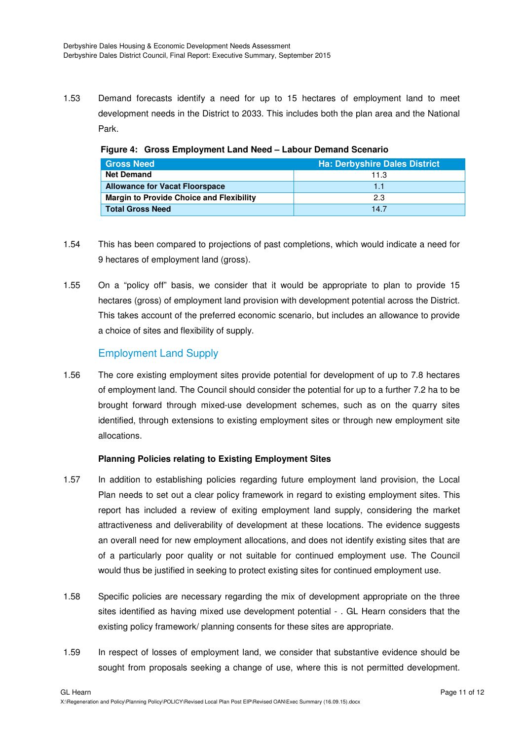1.53 Demand forecasts identify a need for up to 15 hectares of employment land to meet development needs in the District to 2033. This includes both the plan area and the National Park.

| <b>Gross Need</b>                               | Ha: Derbyshire Dales District |
|-------------------------------------------------|-------------------------------|
| <b>Net Demand</b>                               | 11.3                          |
| <b>Allowance for Vacat Floorspace</b>           | 11                            |
| <b>Margin to Provide Choice and Flexibility</b> | 23                            |
| <b>Total Gross Need</b>                         | 147                           |

**Figure 4: Gross Employment Land Need – Labour Demand Scenario** 

- 1.54 This has been compared to projections of past completions, which would indicate a need for 9 hectares of employment land (gross).
- 1.55 On a "policy off" basis, we consider that it would be appropriate to plan to provide 15 hectares (gross) of employment land provision with development potential across the District. This takes account of the preferred economic scenario, but includes an allowance to provide a choice of sites and flexibility of supply.

# Employment Land Supply

1.56 The core existing employment sites provide potential for development of up to 7.8 hectares of employment land. The Council should consider the potential for up to a further 7.2 ha to be brought forward through mixed-use development schemes, such as on the quarry sites identified, through extensions to existing employment sites or through new employment site allocations.

# **Planning Policies relating to Existing Employment Sites**

- 1.57 In addition to establishing policies regarding future employment land provision, the Local Plan needs to set out a clear policy framework in regard to existing employment sites. This report has included a review of exiting employment land supply, considering the market attractiveness and deliverability of development at these locations. The evidence suggests an overall need for new employment allocations, and does not identify existing sites that are of a particularly poor quality or not suitable for continued employment use. The Council would thus be justified in seeking to protect existing sites for continued employment use.
- 1.58 Specific policies are necessary regarding the mix of development appropriate on the three sites identified as having mixed use development potential - . GL Hearn considers that the existing policy framework/ planning consents for these sites are appropriate.
- 1.59 In respect of losses of employment land, we consider that substantive evidence should be sought from proposals seeking a change of use, where this is not permitted development.